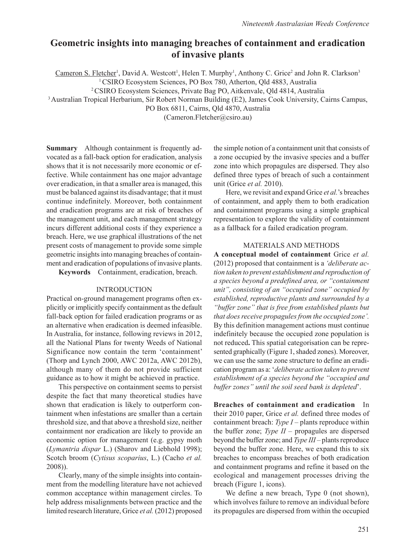# **Geometric insights into managing breaches of containment and eradication of invasive plants**

Cameron S. Fletcher<sup>1</sup>, David A. Westcott<sup>1</sup>, Helen T. Murphy<sup>1</sup>, Anthony C. Grice<sup>2</sup> and John R. Clarkson<sup>3</sup>

<sup>1</sup> CSIRO Ecosystem Sciences, PO Box 780, Atherton, Qld 4883, Australia

2 CSIRO Ecosystem Sciences, Private Bag PO, Aitkenvale, Qld 4814, Australia

3 Australian Tropical Herbarium, Sir Robert Norman Building (E2), James Cook University, Cairns Campus,

PO Box 6811, Cairns, Qld 4870, Australia

(Cameron.Fletcher@csiro.au)

**Summary** Although containment is frequently advocated as a fall-back option for eradication, analysis shows that it is not necessarily more economic or effective. While containment has one major advantage over eradication, in that a smaller area is managed, this must be balanced against its disadvantage; that it must continue indefinitely. Moreover, both containment and eradication programs are at risk of breaches of the management unit, and each management strategy incurs different additional costs if they experience a breach. Here, we use graphical illustrations of the net present costs of management to provide some simple geometric insights into managing breaches of containment and eradication of populations of invasive plants.

**Keywords** Containment, eradication, breach.

# INTRODUCTION

Practical on-ground management programs often explicitly or implicitly specify containment as the default fall-back option for failed eradication programs or as an alternative when eradication is deemed infeasible. In Australia, for instance, following reviews in 2012, all the National Plans for twenty Weeds of National Significance now contain the term 'containment' (Thorp and Lynch 2000, AWC 2012a, AWC 2012b), although many of them do not provide sufficient guidance as to how it might be achieved in practice.

This perspective on containment seems to persist despite the fact that many theoretical studies have shown that eradication is likely to outperform containment when infestations are smaller than a certain threshold size, and that above a threshold size, neither containment nor eradication are likely to provide an economic option for management (e.g. gypsy moth (*Lymantria dispar* L.) (Sharov and Liebhold 1998); Scotch broom (*Cytisus scoparius*, L.) (Cacho *et al.* 2008)).

Clearly, many of the simple insights into containment from the modelling literature have not achieved common acceptance within management circles. To help address misalignments between practice and the limited research literature, Grice *et al.* (2012) proposed the simple notion of a containment unit that consists of a zone occupied by the invasive species and a buffer zone into which propagules are dispersed. They also defined three types of breach of such a containment unit (Grice *et al.* 2010).

Here, we revisit and expand Grice *et al.*'s breaches of containment, and apply them to both eradication and containment programs using a simple graphical representation to explore the validity of containment as a fallback for a failed eradication program.

# MATERIALS AND METHODS

**A conceptual model of containment** Grice *et al.* (2012) proposed that containment is a *'deliberate action taken to prevent establishment and reproduction of a species beyond a predefined area, or "containment unit", consisting of an "occupied zone" occupied by established, reproductive plants and surrounded by a "buffer zone" that is free from established plants but that does receive propagules from the occupied zone'.*  By this definition management actions must continue indefinitely because the occupied zone population is not reduced**.** This spatial categorisation can be represented graphically (Figure 1, shaded zones). Moreover, we can use the same zone structure to define an eradication program as a: '*deliberate action taken to prevent establishment of a species beyond the "occupied and buffer zones" until the soil seed bank is depleted*'.

**Breaches of containment and eradication** In their 2010 paper, Grice *et al.* defined three modes of containment breach: *Type I* – plants reproduce within the buffer zone; *Type II* – propagules are dispersed beyond the buffer zone; and *Type III* – plants reproduce beyond the buffer zone. Here, we expand this to six breaches to encompass breaches of both eradication and containment programs and refine it based on the ecological and management processes driving the breach (Figure 1, icons).

We define a new breach, Type 0 (not shown), which involves failure to remove an individual before its propagules are dispersed from within the occupied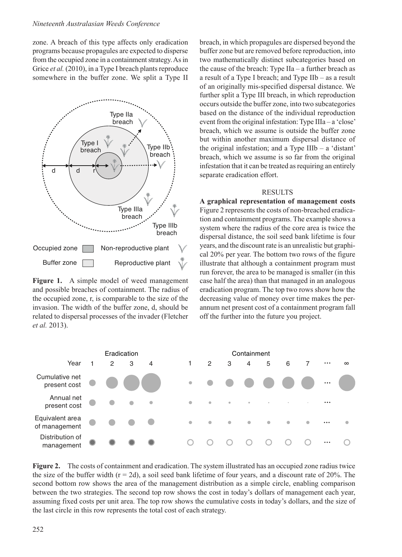zone. A breach of this type affects only eradication programs because propagules are expected to disperse from the occupied zone in a containment strategy. As in Grice *et al.* (2010), in a Type I breach plants reproduce somewhere in the buffer zone. We split a Type II



Figure 1. A simple model of weed management and possible breaches of containment. The radius of the occupied zone, r, is comparable to the size of the invasion. The width of the buffer zone, d, should be related to dispersal processes of the invader (Fletcher *et al.* 2013).

breach, in which propagules are dispersed beyond the buffer zone but are removed before reproduction, into two mathematically distinct subcategories based on the cause of the breach: Type IIa – a further breach as a result of a Type I breach; and Type IIb – as a result of an originally mis-specified dispersal distance. We further split a Type III breach, in which reproduction occurs outside the buffer zone, into two subcategories based on the distance of the individual reproduction event from the original infestation: Type IIIa – a 'close' breach, which we assume is outside the buffer zone but within another maximum dispersal distance of the original infestation; and a Type IIIb – a 'distant' breach, which we assume is so far from the original infestation that it can be treated as requiring an entirely separate eradication effort.

#### RESULTS

**A graphical representation of management costs** Figure 2 represents the costs of non-breached eradication and containment programs. The example shows a system where the radius of the core area is twice the dispersal distance, the soil seed bank lifetime is four years, and the discount rate is an unrealistic but graphical 20% per year. The bottom two rows of the figure illustrate that although a containment program must run forever, the area to be managed is smaller (in this case half the area) than that managed in an analogous eradication program. The top two rows show how the decreasing value of money over time makes the perannum net present cost of a containment program fall off the further into the future you project.



**Figure 2.** The costs of containment and eradication. The system illustrated has an occupied zone radius twice the size of the buffer width  $(r = 2d)$ , a soil seed bank lifetime of four years, and a discount rate of 20%. The second bottom row shows the area of the management distribution as a simple circle, enabling comparison between the two strategies. The second top row shows the cost in today's dollars of management each year, assuming fixed costs per unit area. The top row shows the cumulative costs in today's dollars, and the size of the last circle in this row represents the total cost of each strategy.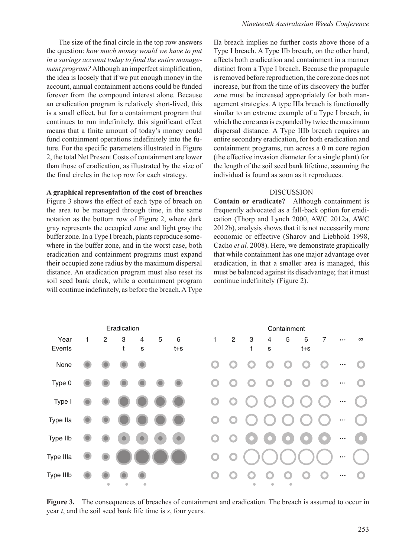The size of the final circle in the top row answers the question: *how much money would we have to put in a savings account today to fund the entire management program?* Although an imperfect simplification, the idea is loosely that if we put enough money in the account, annual containment actions could be funded forever from the compound interest alone. Because an eradication program is relatively short-lived, this is a small effect, but for a containment program that continues to run indefinitely, this significant effect means that a finite amount of today's money could fund containment operations indefinitely into the future. For the specific parameters illustrated in Figure 2, the total Net Present Costs of containment are lower than those of eradication, as illustrated by the size of the final circles in the top row for each strategy.

### **A graphical representation of the cost of breaches**

Figure 3 shows the effect of each type of breach on the area to be managed through time, in the same notation as the bottom row of Figure 2, where dark gray represents the occupied zone and light gray the buffer zone. In a Type I breach, plants reproduce somewhere in the buffer zone, and in the worst case, both eradication and containment programs must expand their occupied zone radius by the maximum dispersal distance. An eradication program must also reset its soil seed bank clock, while a containment program will continue indefinitely, as before the breach. A Type

IIa breach implies no further costs above those of a Type I breach. A Type IIb breach, on the other hand, affects both eradication and containment in a manner distinct from a Type I breach. Because the propagule is removed before reproduction, the core zone does not increase, but from the time of its discovery the buffer zone must be increased appropriately for both management strategies. A type IIIa breach is functionally similar to an extreme example of a Type I breach, in which the core area is expanded by twice the maximum dispersal distance. A Type IIIb breach requires an entire secondary eradication, for both eradication and containment programs, run across a 0 m core region (the effective invasion diameter for a single plant) for the length of the soil seed bank lifetime, assuming the individual is found as soon as it reproduces.

#### DISCUSSION

**Contain or eradicate?** Although containment is frequently advocated as a fall-back option for eradication (Thorp and Lynch 2000, AWC 2012a, AWC 2012b), analysis shows that it is not necessarily more economic or effective (Sharov and Liebhold 1998, Cacho *et al.* 2008). Here, we demonstrate graphically that while containment has one major advantage over eradication, in that a smaller area is managed, this must be balanced against its disadvantage; that it must continue indefinitely (Figure 2).



**Figure 3.** The consequences of breaches of containment and eradication. The breach is assumed to occur in year *t*, and the soil seed bank life time is *s*, four years.